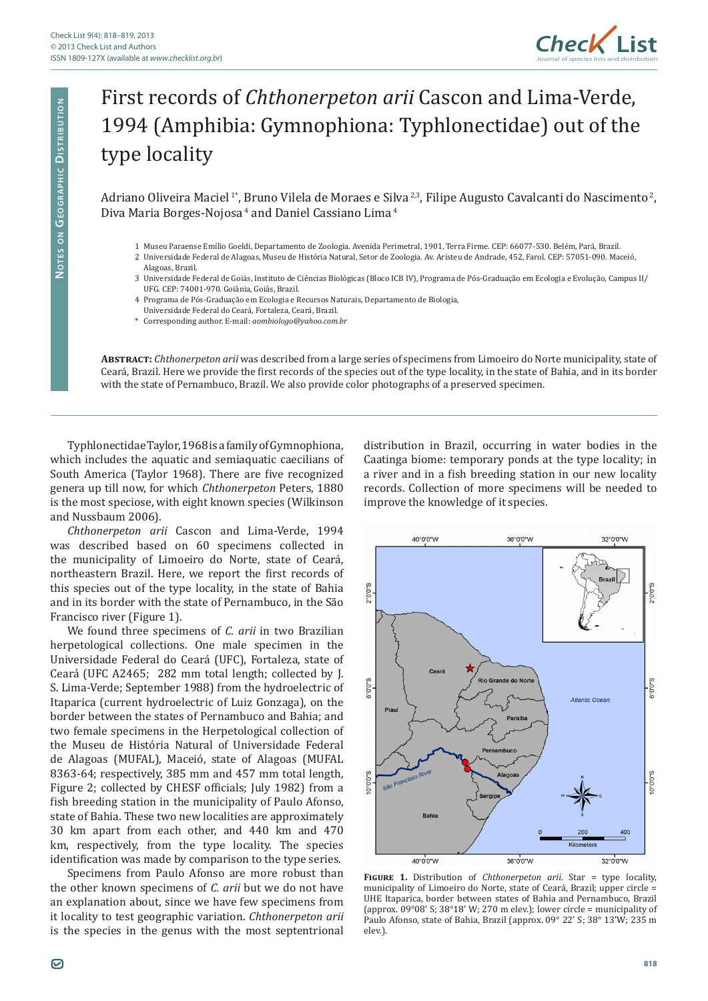

## First records of *Chthonerpeton arii* Cascon and Lima-Verde, 1994 (Amphibia: Gymnophiona: Typhlonectidae) out of the type locality

Adriano Oliveira Maciel<sup>1\*</sup>, Bruno Vilela de Moraes e Silva<sup>2,3</sup>, Filipe Augusto Cavalcanti do Nascimento<sup>2</sup>, Diva Maria Borges-Nojosa<sup>4</sup> and Daniel Cassiano Lima<sup>4</sup>

- 1 Museu Paraense Emílio Goeldi, Departamento de Zoologia. Avenida Perimetral, 1901, Terra Firme. CEP: 66077-530. Belém, Pará, Brazil.
- 2 Universidade Federal de Alagoas, Museu de História Natural, Setor de Zoologia. Av. Aristeu de Andrade, 452, Farol. CEP: 57051-090. Maceió, Alagoas, Brazil.
- 3 Universidade Federal de Goiás, Instituto de Ciências Biológicas (Bloco ICB IV), Programa de Pós-Graduação em Ecologia e Evolução, Campus II/ UFG. CEP: 74001-970. Goiânia, Goiás, Brazil.
- 4 Programa de Pós-Graduação em Ecologia e Recursos Naturais, Departamento de Biologia,
- Universidade Federal do Ceará, Fortaleza, Ceará, Brazil.
- \* Corresponding author. E-mail: *aombiologo@yahoo.com.br*

**Abstract:** *Chthonerpeton arii* was described from a large series of specimens from Limoeiro do Norte municipality, state of Ceará, Brazil. Here we provide the first records of the species out of the type locality, in the state of Bahia, and in its border with the state of Pernambuco, Brazil. We also provide color photographs of a preserved specimen.

Typhlonectidae Taylor, 1968 is a family of Gymnophiona, which includes the aquatic and semiaquatic caecilians of South America (Taylor 1968). There are five recognized genera up till now, for which *Chthonerpeton* Peters, 1880 is the most speciose, with eight known species (Wilkinson and Nussbaum 2006).

*Chthonerpeton arii* Cascon and Lima-Verde, 1994 was described based on 60 specimens collected in the municipality of Limoeiro do Norte, state of Ceará, northeastern Brazil. Here, we report the first records of this species out of the type locality, in the state of Bahia and in its border with the state of Pernambuco, in the São Francisco river (Figure 1).

We found three specimens of *C. arii* in two Brazilian herpetological collections. One male specimen in the Universidade Federal do Ceará (UFC), Fortaleza, state of Ceará (UFC A2465; 282 mm total length; collected by J. S. Lima-Verde; September 1988) from the hydroelectric of Itaparica (current hydroelectric of Luiz Gonzaga), on the border between the states of Pernambuco and Bahia; and two female specimens in the Herpetological collection of the Museu de História Natural of Universidade Federal de Alagoas (MUFAL), Maceió, state of Alagoas (MUFAL 8363-64; respectively, 385 mm and 457 mm total length, Figure 2; collected by CHESF officials; July 1982) from a fish breeding station in the municipality of Paulo Afonso, state of Bahia. These two new localities are approximately 30 km apart from each other, and 440 km and 470 km, respectively, from the type locality. The species identification was made by comparison to the type series.

Specimens from Paulo Afonso are more robust than the other known specimens of *C. arii* but we do not have an explanation about, since we have few specimens from it locality to test geographic variation. *Chthonerpeton arii* is the species in the genus with the most septentrional

distribution in Brazil, occurring in water bodies in the Caatinga biome: temporary ponds at the type locality; in a river and in a fish breeding station in our new locality records. Collection of more specimens will be needed to improve the knowledge of it species.



**Figure 1.** Distribution of *Chthonerpeton arii*. Star = type locality, municipality of Limoeiro do Norte, state of Ceará, Brazil; upper circle = UHE Itaparica, border between states of Bahia and Pernambuco, Brazil (approx. 09°08' S; 38°18' W; 270 m elev.); lower circle = municipality of Paulo Afonso, state of Bahia, Brazil (approx. 09° 22' S; 38° 13'W; 235 m elev.).